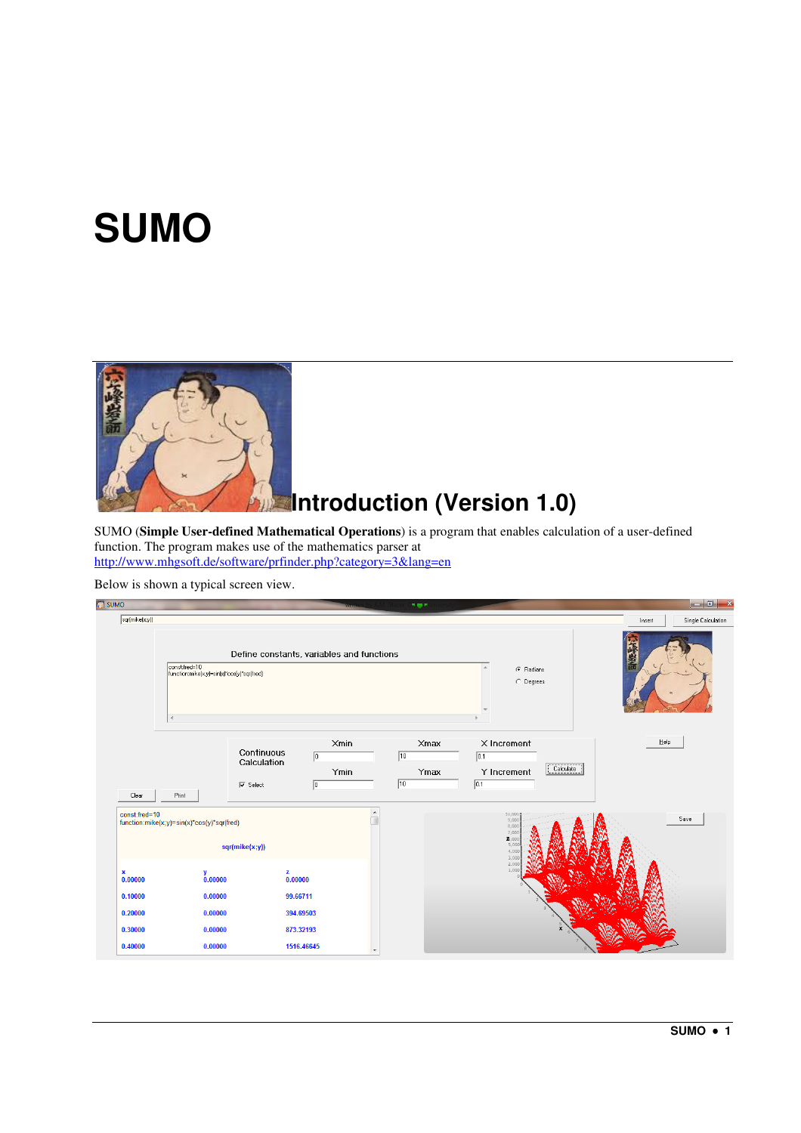# **SUMO**



# **Introduction (Version 1.0)**

SUMO (**Simple User-defined Mathematical Operations**) is a program that enables calculation of a user-defined function. The program makes use of the mathematics parser at http://www.mhgsoft.de/software/prfinder.php?category=3&lang=en

Below is shown a typical screen view.

| <b>SUMO</b>                                                               |                                                                                                               |                                                                                           |                                                   | 787                                                |                                                                                       | $\blacksquare$ 0 $\blacksquare$ x |
|---------------------------------------------------------------------------|---------------------------------------------------------------------------------------------------------------|-------------------------------------------------------------------------------------------|---------------------------------------------------|----------------------------------------------------|---------------------------------------------------------------------------------------|-----------------------------------|
| sqr(mike(x;y))                                                            |                                                                                                               |                                                                                           |                                                   |                                                    |                                                                                       | Single Calculation<br>Insert      |
|                                                                           | const:fred=10<br>function:mike(x;y)=sin(x)*cos(y)*sqr(fred)<br>$\left($                                       | Define constants, variables and functions                                                 |                                                   | G Radians<br>C Degrees                             |                                                                                       |                                   |
| Clear                                                                     | Print                                                                                                         | Continuous<br>Calculation<br>$\overline{\smash{\vee}}$ Select                             | Xmin<br>$\sqrt{6}$<br>Ymin<br>$\boxed{0}$         | $\times$ max<br>$\sqrt{10}$<br>Ymax<br>$\sqrt{10}$ | X Increment<br>$\boxed{0.1}$<br>Calculate<br>Y Increment<br>$\boxed{0.1}$             | Help                              |
| const:fred=10<br>×<br>0.00000<br>0.10000<br>0.20000<br>0.30000<br>0.40000 | function:mike(x;y)=sin(x)*cos(y)*sqr(fred)<br>$\frac{y}{0.00000}$<br>0.00000<br>0.00000<br>0.00000<br>0.00000 | sqr(mike(x;y))<br>$\frac{z}{0.00000}$<br>99.66711<br>394.69503<br>873.32193<br>1516.46645 | $\blacktriangle$<br>T<br>$\overline{\phantom{a}}$ |                                                    | 10,000<br>9,000<br>8,000<br>7,000<br>2,00<br>5,00<br>4,000<br>3,000<br>2,000<br>1,000 | Save                              |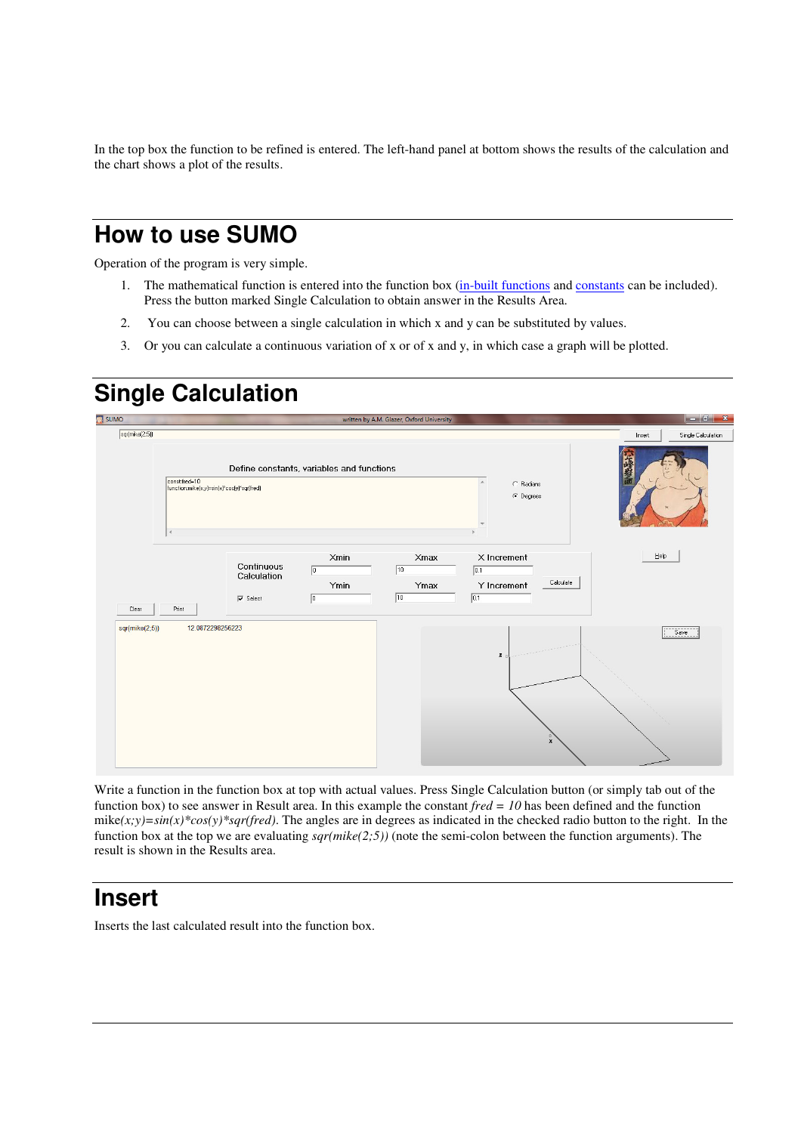In the top box the function to be refined is entered. The left-hand panel at bottom shows the results of the calculation and the chart shows a plot of the results.

## **How to use SUMO**

Operation of the program is very simple.

- 1. The mathematical function is entered into the function box (in-built functions and constants can be included). Press the button marked Single Calculation to obtain answer in the Results Area.
- 2. You can choose between a single calculation in which x and y can be substituted by values.
- 3. Or you can calculate a continuous variation of x or of x and y, in which case a graph will be plotted.

## **Single Calculation**



Write a function in the function box at top with actual values. Press Single Calculation button (or simply tab out of the function box) to see answer in Result area. In this example the constant *fred = 10* has been defined and the function mike $(x,y)=\sin(x)*cos(y)*sqrt{(red)}$ . The angles are in degrees as indicated in the checked radio button to the right. In the function box at the top we are evaluating *sqr(mike(2;5))* (note the semi-colon between the function arguments). The result is shown in the Results area.

#### **Insert**

Inserts the last calculated result into the function box.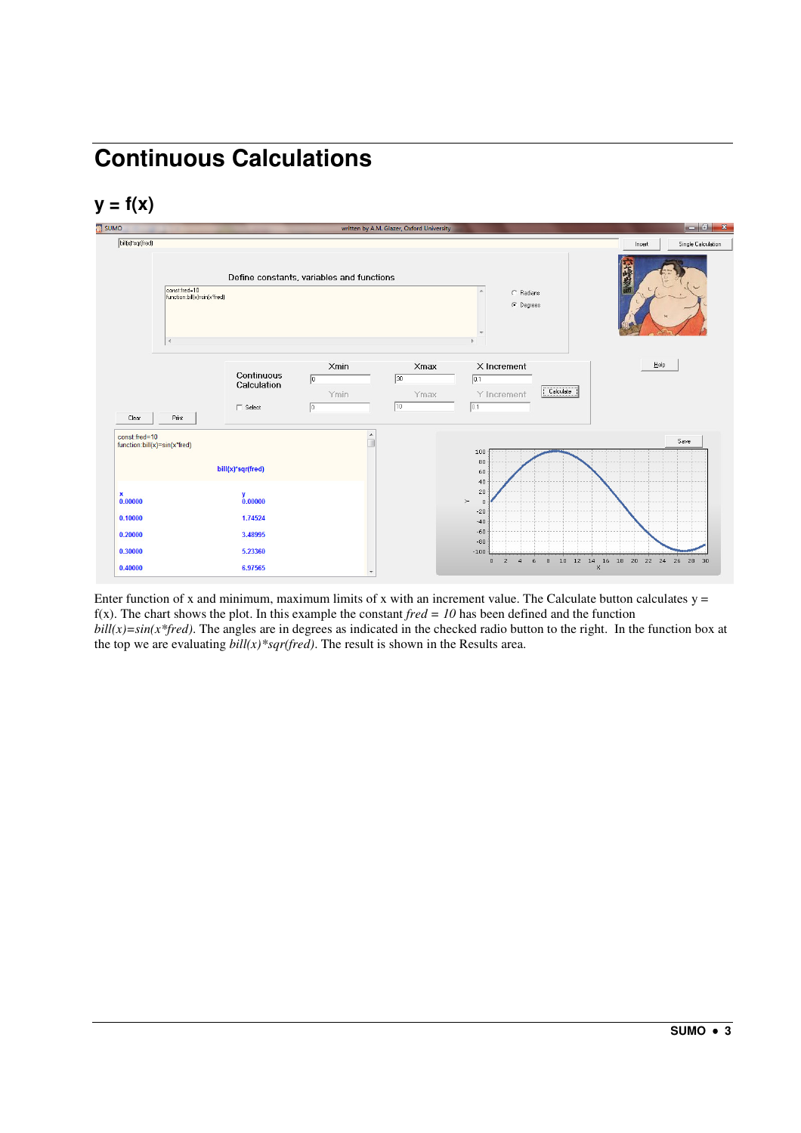# **Continuous Calculations**

#### **y = f(x)**



Enter function of x and minimum, maximum limits of x with an increment value. The Calculate button calculates  $y =$ f(x). The chart shows the plot. In this example the constant  $fred = 10$  has been defined and the function  $\frac{b\ddot{d}}{x} = \sin(x^* \text{fred})$ . The angles are in degrees as indicated in the checked radio button to the right. In the function box at the top we are evaluating  $\frac{b\ddot{d}}{dx}$  *sqr(fred)*. The result is shown in the Results area.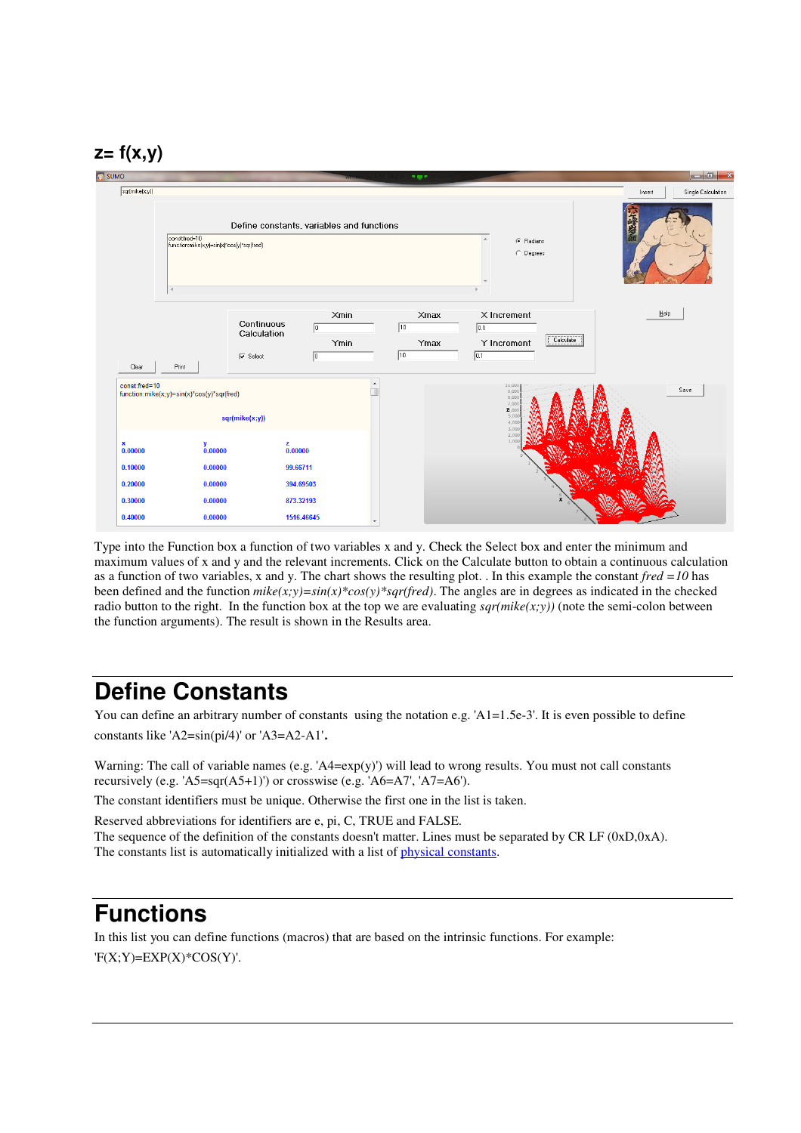#### **z= f(x,y)**



Type into the Function box a function of two variables x and y. Check the Select box and enter the minimum and maximum values of x and y and the relevant increments. Click on the Calculate button to obtain a continuous calculation as a function of two variables, x and y. The chart shows the resulting plot. . In this example the constant *fred =10* has been defined and the function  $mike(x,y)=sin(x)*cos(y)*sqrt(c)$ . The angles are in degrees as indicated in the checked radio button to the right. In the function box at the top we are evaluating  $\frac{sqrt(x,y)}{)}$  (note the semi-colon between the function arguments). The result is shown in the Results area.

## **Define Constants**

You can define an arbitrary number of constants using the notation e.g. ' $A1=1.5e-3'$ '. It is even possible to define constants like 'A2=sin(pi/4)' or 'A3=A2-A1'.

Warning: The call of variable names (e.g. 'A4=exp(y)') will lead to wrong results. You must not call constants recursively (e.g. 'A5=sqr(A5+1)') or crosswise (e.g. 'A6=A7', 'A7=A6').

The constant identifiers must be unique. Otherwise the first one in the list is taken.

Reserved abbreviations for identifiers are e, pi, C, TRUE and FALSE. The sequence of the definition of the constants doesn't matter. Lines must be separated by CR LF (0xD,0xA). The constants list is automatically initialized with a list of physical constants.

#### **Functions**

In this list you can define functions (macros) that are based on the intrinsic functions. For example:  $F(X;Y)=EXP(X)*COS(Y)$ .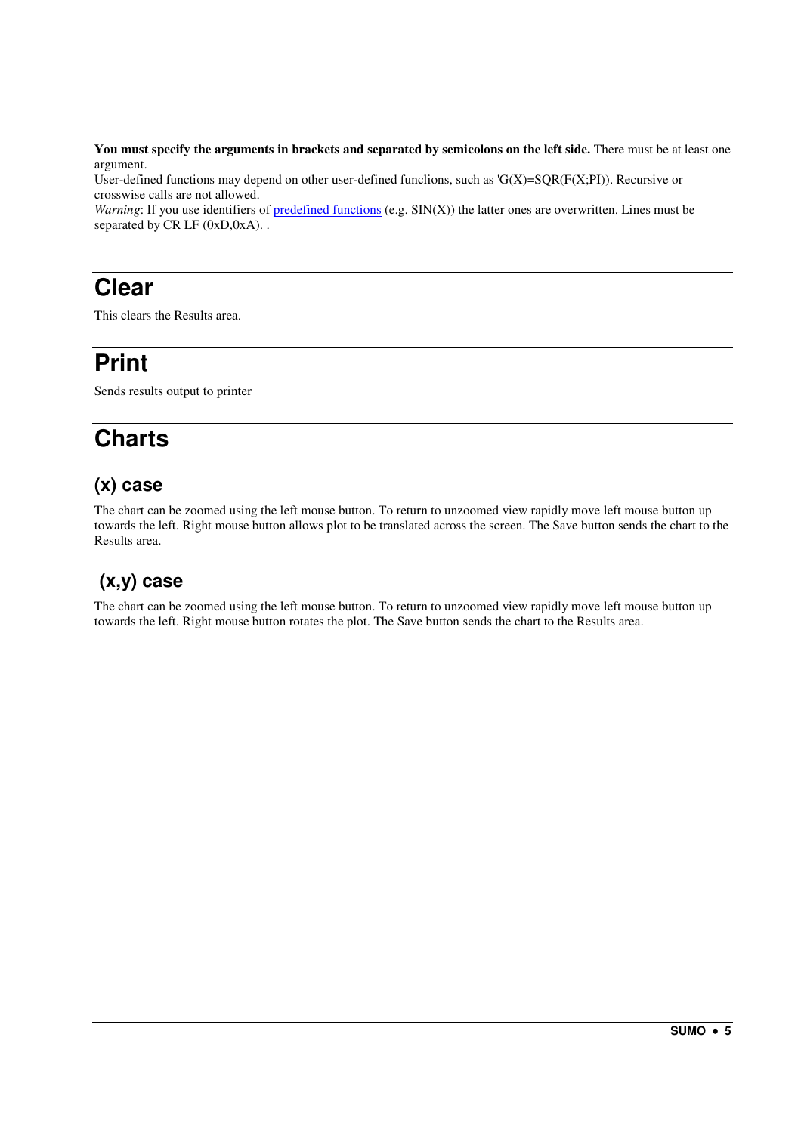**You must specify the arguments in brackets and separated by semicolons on the left side.** There must be at least one argument.

User-defined functions may depend on other user-defined functions, such as  $'G(X)=SQR(F(X;P))$ . Recursive or crosswise calls are not allowed.

*Warning*: If you use identifiers of predefined functions (e.g. SIN(X)) the latter ones are overwritten. Lines must be separated by CR LF (0xD,0xA)..

#### **Clear**

This clears the Results area.

## **Print**

Sends results output to printer

## **Charts**

#### **(x) case**

The chart can be zoomed using the left mouse button. To return to unzoomed view rapidly move left mouse button up towards the left. Right mouse button allows plot to be translated across the screen. The Save button sends the chart to the Results area.

#### **(x,y) case**

The chart can be zoomed using the left mouse button. To return to unzoomed view rapidly move left mouse button up towards the left. Right mouse button rotates the plot. The Save button sends the chart to the Results area.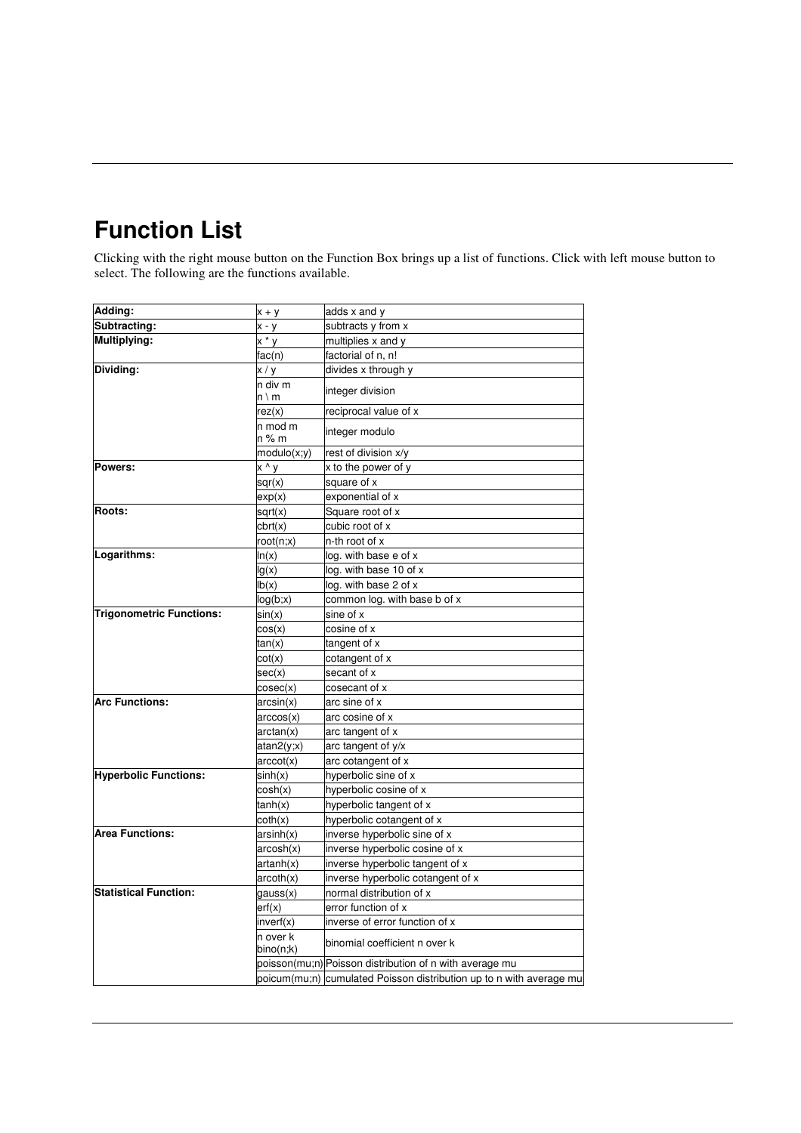## **Function List**

Clicking with the right mouse button on the Function Box brings up a list of functions. Click with left mouse button to select. The following are the functions available.

| Adding:                         | $x + y$               | adds x and y                                                        |
|---------------------------------|-----------------------|---------------------------------------------------------------------|
| Subtracting:                    | x - y                 | subtracts y from x                                                  |
| Multiplying:                    | x * y                 | multiplies x and y                                                  |
|                                 | fac(n)                | factorial of n, n!                                                  |
| Dividing:                       | x/y                   | divides x through y                                                 |
|                                 | n div m<br>n∖m        | integer division                                                    |
|                                 | rez(x)                | reciprocal value of x                                               |
|                                 | n mod m<br>n % m      | integer modulo                                                      |
|                                 | modulo(x;y)           | rest of division x/y                                                |
| Powers:                         | x ^ y                 | x to the power of y                                                 |
|                                 | sqr(x)                | square of x                                                         |
|                                 | exp(x)                | exponential of x                                                    |
| <b>Roots:</b>                   | sqrt(x)               | Square root of x                                                    |
|                                 | chrt(x)               | cubic root of x                                                     |
|                                 | root(n;x)             | n-th root of x                                                      |
| Logarithms:                     | ln(x)                 | log. with base e of x                                               |
|                                 | lg(x)                 | log. with base 10 of x                                              |
|                                 | lb(x)                 | log. with base 2 of x                                               |
|                                 | log(b; x)             | common log. with base b of x                                        |
| <b>Trigonometric Functions:</b> | sin(x)                | sine of x                                                           |
|                                 | cos(x)                | cosine of x                                                         |
|                                 | tan(x)                | tangent of x                                                        |
|                                 | $\cot(x)$             | cotangent of x                                                      |
|                                 | sec(x)                | secant of x                                                         |
|                                 | cosec(x)              | cosecant of x                                                       |
| <b>Arc Functions:</b>           | arcsin(x)             | arc sine of x                                                       |
|                                 | arccos(x)             | arc cosine of x                                                     |
|                                 | arctan(x)             | arc tangent of x                                                    |
|                                 | atan2(y; x)           | arc tangent of y/x                                                  |
|                                 | arccot(x)             | arc cotangent of x                                                  |
| <b>Hyperbolic Functions:</b>    | sinh(x)               | hyperbolic sine of x                                                |
|                                 | cosh(x)               | hyperbolic cosine of x                                              |
|                                 | tanh(x)               | hyperbolic tangent of x                                             |
|                                 | coth(x)               | hyperbolic cotangent of x                                           |
| <b>Area Functions:</b>          | arsinh(x)             | inverse hyperbolic sine of x                                        |
|                                 | arcosh(x)             | inverse hyperbolic cosine of x                                      |
|                                 | artanh(x)             | inverse hyperbolic tangent of x                                     |
|                                 | arcoth(x)             | inverse hyperbolic cotangent of x                                   |
| <b>Statistical Function:</b>    | gauss(x)              | normal distribution of x                                            |
|                                 | erf(x)                | error function of x                                                 |
|                                 | inverf(x)             | inverse of error function of x                                      |
|                                 | n over k<br>bino(n;k) | binomial coefficient n over k                                       |
|                                 |                       | poisson(mu;n) Poisson distribution of n with average mu             |
|                                 |                       | poicum(mu;n) cumulated Poisson distribution up to n with average mu |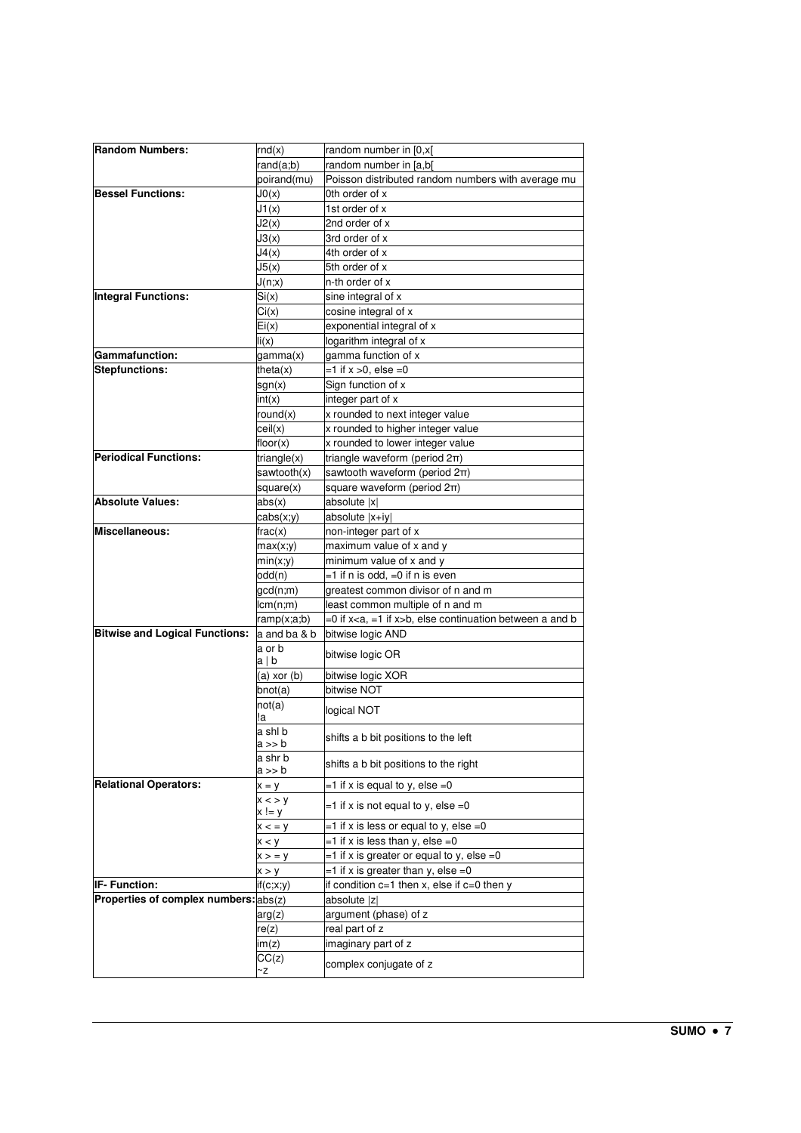| <b>Random Numbers:</b>                | rnd(x)          | random number in [0,x[                                                 |
|---------------------------------------|-----------------|------------------------------------------------------------------------|
|                                       | rand(a;b)       | random number in [a,b]                                                 |
|                                       | poirand(mu)     | Poisson distributed random numbers with average mu                     |
| <b>Bessel Functions:</b>              | J0(x)           | 0th order of x                                                         |
|                                       | J1(x)           | 1st order of x                                                         |
|                                       | J2(x)           | 2nd order of x                                                         |
|                                       | J3(x)           | 3rd order of x                                                         |
|                                       | J4(x)           | 4th order of x                                                         |
|                                       | J5(x)           | 5th order of x                                                         |
|                                       | J(n;x)          | n-th order of x                                                        |
| <b>Integral Functions:</b>            | Si(x)           | sine integral of x                                                     |
|                                       | Ci(x)           | cosine integral of x                                                   |
|                                       | Ei(x)           | exponential integral of x                                              |
|                                       | li(x)           | logarithm integral of x                                                |
| Gammafunction:                        | gamma(x)        | gamma function of x                                                    |
| Stepfunctions:                        | theta $(x)$     | $=1$ if $x > 0$ , else $=0$                                            |
|                                       | sgn(x)          | Sign function of x                                                     |
|                                       | int(x)          | integer part of x                                                      |
|                                       | round(x)        | x rounded to next integer value                                        |
|                                       | ceil(x)         | x rounded to higher integer value                                      |
|                                       | floor(x)        | x rounded to lower integer value                                       |
| <b>Periodical Functions:</b>          | triangle(x)     | triangle waveform (period 2π)                                          |
|                                       | sawtooth $(x)$  | sawtooth waveform (period 2π)                                          |
|                                       | square(x)       | square waveform (period 2π)                                            |
| Absolute Values:                      | abs(x)          | absolute  x                                                            |
|                                       |                 | absolute  x+iy                                                         |
| Miscellaneous:                        | cabs(x;y)       |                                                                        |
|                                       | frac(x)         | non-integer part of x                                                  |
|                                       | max(x;y)        | maximum value of x and y                                               |
|                                       | min(x, y)       | minimum value of x and y                                               |
|                                       | odd(n)          | =1 if n is odd, =0 if n is even                                        |
|                                       | gcd(n;m)        | greatest common divisor of n and m                                     |
|                                       | lcm(n;m)        | least common multiple of n and m                                       |
|                                       | ramp(x;a;b)     | =0 if x <a, =1="" if="" x="">b, else continuation between a and b</a,> |
| <b>Bitwise and Logical Functions:</b> | a and ba & b    | bitwise logic AND                                                      |
|                                       | a or b<br>a∣b   | bitwise logic OR                                                       |
|                                       | $(a)$ xor $(b)$ |                                                                        |
|                                       | bnot(a)         | bitwise logic XOR<br>bitwise NOT                                       |
|                                       | not(a)          |                                                                        |
|                                       | !a              | logical NOT                                                            |
|                                       | a shl b         |                                                                        |
|                                       | a >> b          | shifts a b bit positions to the left                                   |
|                                       | a shr b         | shifts a b bit positions to the right                                  |
|                                       | a >> b          |                                                                        |
| <b>Relational Operators:</b>          | $x = y$         | =1 if x is equal to y, else =0                                         |
|                                       | x < y<br>x != y | $=$ 1 if x is not equal to y, else $=$ 0                               |
|                                       | x < y           | $=$ 1 if x is less or equal to y, else $=$ 0                           |
|                                       | x < y           | $=1$ if x is less than y, else $=0$                                    |
|                                       | x > y           | $=$ 1 if x is greater or equal to y, else $=$ 0                        |
|                                       | x > y           | $=1$ if x is greater than y, else $=0$                                 |
| IF- Function:                         | if(c;x;y)       | if condition $c=1$ then x, else if $c=0$ then y                        |
| Properties of complex numbers: abs(z) |                 | absolute  z                                                            |
|                                       |                 |                                                                        |
|                                       | arg(z)          | argument (phase) of z                                                  |
|                                       | re(z)           | real part of z                                                         |
|                                       | im(z)           | imaginary part of z                                                    |
|                                       | CC(z)<br>~z     | complex conjugate of z                                                 |
|                                       |                 |                                                                        |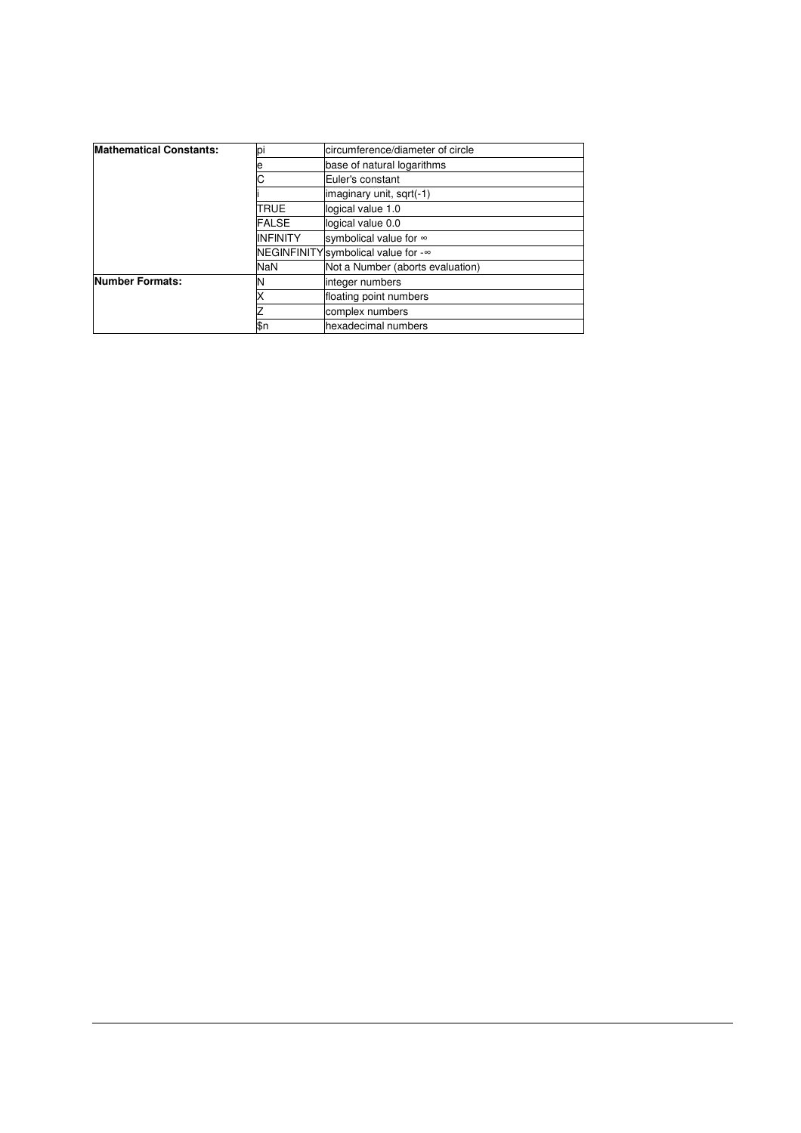| <b>Mathematical Constants:</b> | pi              | circumference/diameter of circle    |  |  |
|--------------------------------|-----------------|-------------------------------------|--|--|
|                                | е               | base of natural logarithms          |  |  |
|                                |                 | Euler's constant                    |  |  |
|                                |                 | imaginary unit, sqrt(-1)            |  |  |
|                                | <b>TRUE</b>     | logical value 1.0                   |  |  |
|                                | <b>FALSE</b>    | logical value 0.0                   |  |  |
|                                | <b>INFINITY</b> | symbolical value for ∞              |  |  |
|                                |                 | NEGINFINITY symbolical value for -∞ |  |  |
|                                | <b>NaN</b>      | Not a Number (aborts evaluation)    |  |  |
| <b>Number Formats:</b>         | N               | integer numbers                     |  |  |
|                                |                 | floating point numbers              |  |  |
|                                |                 | complex numbers                     |  |  |
|                                | ßn              | hexadecimal numbers                 |  |  |